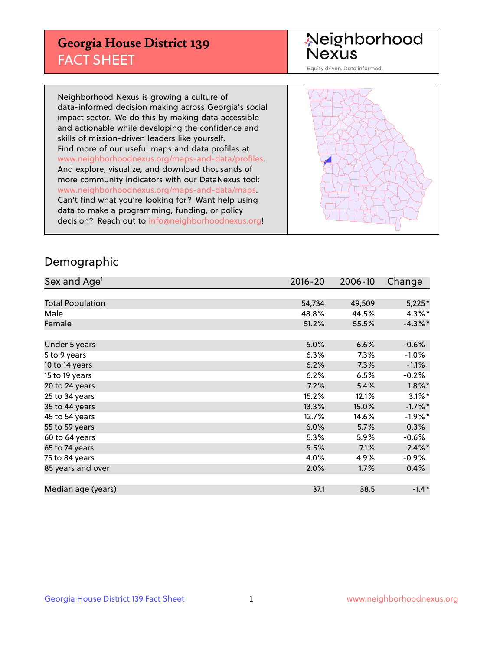## **Georgia House District 139** FACT SHEET

# Neighborhood<br>Nexus

Equity driven. Data informed.

Neighborhood Nexus is growing a culture of data-informed decision making across Georgia's social impact sector. We do this by making data accessible and actionable while developing the confidence and skills of mission-driven leaders like yourself. Find more of our useful maps and data profiles at www.neighborhoodnexus.org/maps-and-data/profiles. And explore, visualize, and download thousands of more community indicators with our DataNexus tool: www.neighborhoodnexus.org/maps-and-data/maps. Can't find what you're looking for? Want help using data to make a programming, funding, or policy decision? Reach out to [info@neighborhoodnexus.org!](mailto:info@neighborhoodnexus.org)



### Demographic

| Sex and Age <sup>1</sup> | $2016 - 20$ | 2006-10 | Change     |
|--------------------------|-------------|---------|------------|
|                          |             |         |            |
| <b>Total Population</b>  | 54,734      | 49,509  | $5,225*$   |
| Male                     | 48.8%       | 44.5%   | $4.3\%$ *  |
| Female                   | 51.2%       | 55.5%   | $-4.3\%$ * |
|                          |             |         |            |
| Under 5 years            | 6.0%        | 6.6%    | $-0.6%$    |
| 5 to 9 years             | 6.3%        | 7.3%    | $-1.0\%$   |
| 10 to 14 years           | 6.2%        | 7.3%    | $-1.1\%$   |
| 15 to 19 years           | 6.2%        | 6.5%    | $-0.2%$    |
| 20 to 24 years           | 7.2%        | 5.4%    | $1.8\%$ *  |
| 25 to 34 years           | 15.2%       | 12.1%   | $3.1\%$ *  |
| 35 to 44 years           | 13.3%       | 15.0%   | $-1.7%$ *  |
| 45 to 54 years           | 12.7%       | 14.6%   | $-1.9\%$ * |
| 55 to 59 years           | 6.0%        | 5.7%    | 0.3%       |
| 60 to 64 years           | 5.3%        | 5.9%    | $-0.6\%$   |
| 65 to 74 years           | 9.5%        | 7.1%    | $2.4\%$ *  |
| 75 to 84 years           | 4.0%        | 4.9%    | $-0.9\%$   |
| 85 years and over        | 2.0%        | 1.7%    | 0.4%       |
|                          |             |         |            |
| Median age (years)       | 37.1        | 38.5    | $-1.4*$    |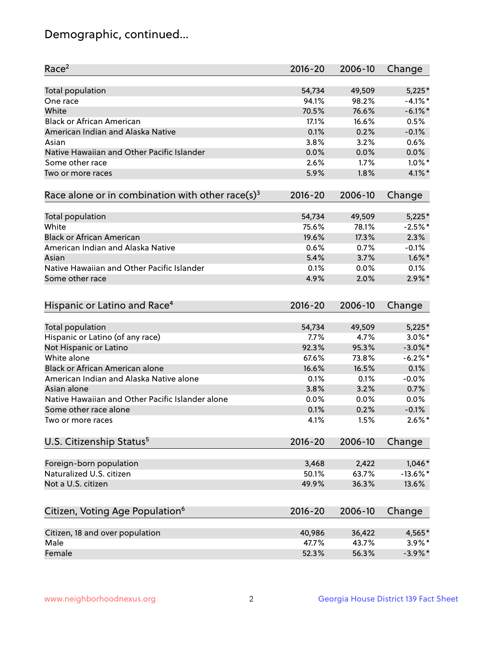## Demographic, continued...

| Race <sup>2</sup>                                            | $2016 - 20$  | 2006-10      | Change      |
|--------------------------------------------------------------|--------------|--------------|-------------|
| <b>Total population</b>                                      | 54,734       | 49,509       | $5,225*$    |
| One race                                                     | 94.1%        | 98.2%        | $-4.1%$ *   |
| White                                                        | 70.5%        | 76.6%        | $-6.1\%$ *  |
| <b>Black or African American</b>                             | 17.1%        | 16.6%        | 0.5%        |
| American Indian and Alaska Native                            | 0.1%         | 0.2%         | $-0.1%$     |
| Asian                                                        | 3.8%         | 3.2%         | 0.6%        |
| Native Hawaiian and Other Pacific Islander                   | 0.0%         | 0.0%         | 0.0%        |
| Some other race                                              | 2.6%         | 1.7%         | $1.0\%$ *   |
| Two or more races                                            | 5.9%         | 1.8%         | 4.1%*       |
| Race alone or in combination with other race(s) <sup>3</sup> | $2016 - 20$  | 2006-10      | Change      |
| Total population                                             | 54,734       | 49,509       | $5,225*$    |
| White                                                        | 75.6%        | 78.1%        | $-2.5%$ *   |
| <b>Black or African American</b>                             | 19.6%        | 17.3%        | 2.3%        |
| American Indian and Alaska Native                            | 0.6%         | 0.7%         | $-0.1%$     |
| Asian                                                        | 5.4%         | 3.7%         | $1.6\%$ *   |
| Native Hawaiian and Other Pacific Islander                   |              |              |             |
|                                                              | 0.1%         | 0.0%         | 0.1%        |
| Some other race                                              | 4.9%         | 2.0%         | $2.9\%$ *   |
| Hispanic or Latino and Race <sup>4</sup>                     | $2016 - 20$  | 2006-10      | Change      |
| <b>Total population</b>                                      | 54,734       | 49,509       | $5,225*$    |
| Hispanic or Latino (of any race)                             | 7.7%         | 4.7%         | $3.0\%$ *   |
| Not Hispanic or Latino                                       | 92.3%        | 95.3%        | $-3.0\%$ *  |
| White alone                                                  | 67.6%        | 73.8%        | $-6.2%$     |
| Black or African American alone                              | 16.6%        | 16.5%        | 0.1%        |
| American Indian and Alaska Native alone                      | 0.1%         | 0.1%         | $-0.0%$     |
| Asian alone                                                  | 3.8%         | 3.2%         | 0.7%        |
| Native Hawaiian and Other Pacific Islander alone             | $0.0\%$      | 0.0%         | 0.0%        |
|                                                              |              |              | $-0.1%$     |
| Some other race alone<br>Two or more races                   | 0.1%<br>4.1% | 0.2%<br>1.5% | $2.6\%$ *   |
|                                                              |              |              |             |
| U.S. Citizenship Status <sup>5</sup>                         | $2016 - 20$  | 2006-10      | Change      |
| Foreign-born population                                      | 3,468        | 2,422        | $1,046*$    |
| Naturalized U.S. citizen                                     | 50.1%        | 63.7%        | $-13.6\%$ * |
| Not a U.S. citizen                                           | 49.9%        | 36.3%        | 13.6%       |
| Citizen, Voting Age Population <sup>6</sup>                  | $2016 - 20$  | 2006-10      | Change      |
|                                                              |              |              |             |
| Citizen, 18 and over population                              | 40,986       | 36,422       | 4,565*      |
| Male                                                         | 47.7%        | 43.7%        | $3.9\%$ *   |
| Female                                                       | 52.3%        | 56.3%        | $-3.9\%$ *  |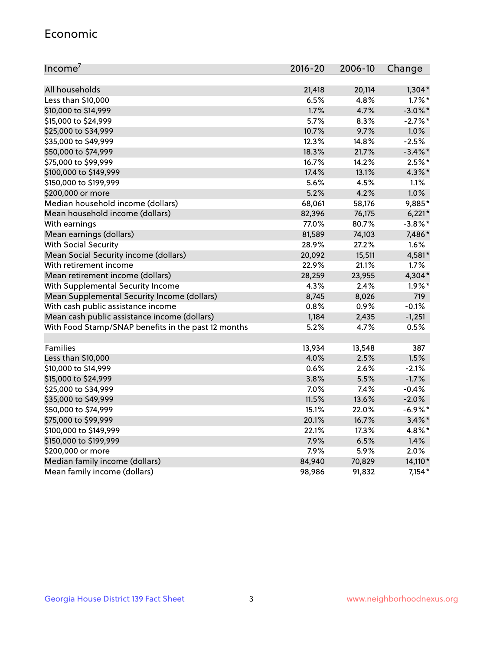#### Economic

| Income <sup>7</sup>                                 | 2016-20 | 2006-10 | Change     |
|-----------------------------------------------------|---------|---------|------------|
|                                                     |         |         |            |
| All households                                      | 21,418  | 20,114  | $1,304*$   |
| Less than \$10,000                                  | 6.5%    | 4.8%    | $1.7\%$ *  |
| \$10,000 to \$14,999                                | 1.7%    | 4.7%    | $-3.0\%$ * |
| \$15,000 to \$24,999                                | 5.7%    | 8.3%    | $-2.7\%$ * |
| \$25,000 to \$34,999                                | 10.7%   | 9.7%    | 1.0%       |
| \$35,000 to \$49,999                                | 12.3%   | 14.8%   | $-2.5%$    |
| \$50,000 to \$74,999                                | 18.3%   | 21.7%   | $-3.4\%$ * |
| \$75,000 to \$99,999                                | 16.7%   | 14.2%   | $2.5%$ *   |
| \$100,000 to \$149,999                              | 17.4%   | 13.1%   | 4.3%*      |
| \$150,000 to \$199,999                              | 5.6%    | 4.5%    | 1.1%       |
| \$200,000 or more                                   | 5.2%    | 4.2%    | 1.0%       |
| Median household income (dollars)                   | 68,061  | 58,176  | 9,885*     |
| Mean household income (dollars)                     | 82,396  | 76,175  | $6,221*$   |
| With earnings                                       | 77.0%   | 80.7%   | $-3.8\%$ * |
| Mean earnings (dollars)                             | 81,589  | 74,103  | 7,486*     |
| <b>With Social Security</b>                         | 28.9%   | 27.2%   | 1.6%       |
| Mean Social Security income (dollars)               | 20,092  | 15,511  | 4,581*     |
| With retirement income                              | 22.9%   | 21.1%   | 1.7%       |
| Mean retirement income (dollars)                    | 28,259  | 23,955  | 4,304*     |
| With Supplemental Security Income                   | 4.3%    | 2.4%    | $1.9\%$ *  |
| Mean Supplemental Security Income (dollars)         | 8,745   | 8,026   | 719        |
| With cash public assistance income                  | 0.8%    | 0.9%    | $-0.1%$    |
| Mean cash public assistance income (dollars)        | 1,184   | 2,435   | $-1,251$   |
| With Food Stamp/SNAP benefits in the past 12 months | 5.2%    | 4.7%    | 0.5%       |
|                                                     |         |         |            |
| Families                                            | 13,934  | 13,548  | 387        |
| Less than \$10,000                                  | 4.0%    | 2.5%    | 1.5%       |
| \$10,000 to \$14,999                                | 0.6%    | 2.6%    | $-2.1%$    |
| \$15,000 to \$24,999                                | 3.8%    | 5.5%    | $-1.7%$    |
| \$25,000 to \$34,999                                | 7.0%    | 7.4%    | $-0.4%$    |
| \$35,000 to \$49,999                                | 11.5%   | 13.6%   | $-2.0%$    |
| \$50,000 to \$74,999                                | 15.1%   | 22.0%   | $-6.9\%$ * |
| \$75,000 to \$99,999                                | 20.1%   | 16.7%   | $3.4\%$ *  |
| \$100,000 to \$149,999                              | 22.1%   | 17.3%   | 4.8%*      |
| \$150,000 to \$199,999                              | 7.9%    | 6.5%    | 1.4%       |
| \$200,000 or more                                   | 7.9%    | 5.9%    | 2.0%       |
| Median family income (dollars)                      | 84,940  | 70,829  | 14,110*    |
| Mean family income (dollars)                        | 98,986  | 91,832  | $7,154*$   |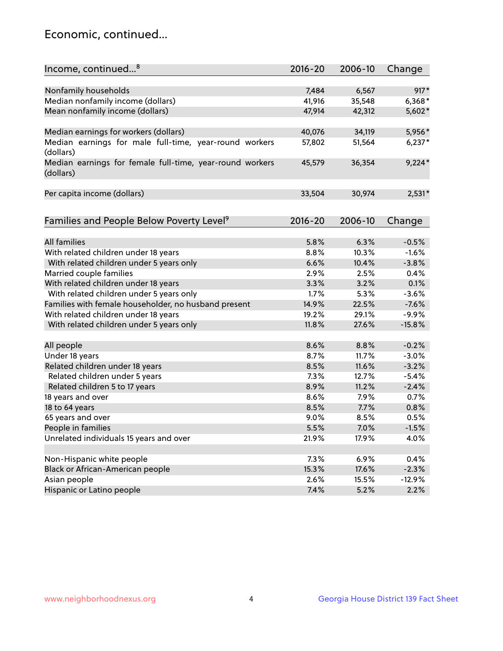## Economic, continued...

| Income, continued <sup>8</sup>                                        | $2016 - 20$ | 2006-10 | Change   |
|-----------------------------------------------------------------------|-------------|---------|----------|
|                                                                       |             |         |          |
| Nonfamily households                                                  | 7,484       | 6,567   | $917*$   |
| Median nonfamily income (dollars)                                     | 41,916      | 35,548  | 6,368*   |
| Mean nonfamily income (dollars)                                       | 47,914      | 42,312  | 5,602*   |
| Median earnings for workers (dollars)                                 | 40,076      | 34,119  | 5,956*   |
| Median earnings for male full-time, year-round workers<br>(dollars)   | 57,802      | 51,564  | $6,237*$ |
| Median earnings for female full-time, year-round workers<br>(dollars) | 45,579      | 36,354  | $9,224*$ |
| Per capita income (dollars)                                           | 33,504      | 30,974  | $2,531*$ |
|                                                                       |             |         |          |
| Families and People Below Poverty Level <sup>9</sup>                  | 2016-20     | 2006-10 | Change   |
| <b>All families</b>                                                   | 5.8%        | 6.3%    | $-0.5%$  |
| With related children under 18 years                                  | 8.8%        | 10.3%   | $-1.6%$  |
| With related children under 5 years only                              | 6.6%        | 10.4%   | $-3.8%$  |
| Married couple families                                               | 2.9%        | 2.5%    | 0.4%     |
| With related children under 18 years                                  | 3.3%        | 3.2%    | 0.1%     |
| With related children under 5 years only                              | 1.7%        | 5.3%    | $-3.6%$  |
| Families with female householder, no husband present                  | 14.9%       | 22.5%   | $-7.6%$  |
| With related children under 18 years                                  | 19.2%       | 29.1%   | $-9.9%$  |
| With related children under 5 years only                              | 11.8%       | 27.6%   | $-15.8%$ |
|                                                                       |             |         |          |
| All people                                                            | 8.6%        | 8.8%    | $-0.2%$  |
| Under 18 years                                                        | 8.7%        | 11.7%   | $-3.0%$  |
| Related children under 18 years                                       | 8.5%        | 11.6%   | $-3.2%$  |
| Related children under 5 years                                        | 7.3%        | 12.7%   | $-5.4%$  |
| Related children 5 to 17 years                                        | 8.9%        | 11.2%   | $-2.4%$  |
| 18 years and over                                                     | 8.6%        | 7.9%    | 0.7%     |
| 18 to 64 years                                                        | 8.5%        | 7.7%    | 0.8%     |
| 65 years and over                                                     | 9.0%        | 8.5%    | 0.5%     |
| People in families                                                    | 5.5%        | 7.0%    | $-1.5%$  |
| Unrelated individuals 15 years and over                               | 21.9%       | 17.9%   | 4.0%     |
|                                                                       |             |         |          |
| Non-Hispanic white people                                             | 7.3%        | 6.9%    | 0.4%     |
| Black or African-American people                                      | 15.3%       | 17.6%   | $-2.3%$  |
| Asian people                                                          | 2.6%        | 15.5%   | $-12.9%$ |
| Hispanic or Latino people                                             | 7.4%        | 5.2%    | 2.2%     |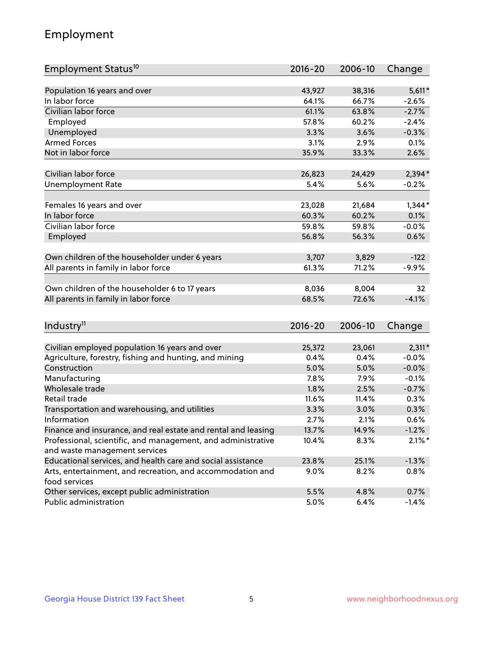## Employment

| Employment Status <sup>10</sup>                               | $2016 - 20$ | 2006-10 | Change    |
|---------------------------------------------------------------|-------------|---------|-----------|
|                                                               |             |         |           |
| Population 16 years and over                                  | 43,927      | 38,316  | $5,611*$  |
| In labor force                                                | 64.1%       | 66.7%   | $-2.6%$   |
| Civilian labor force                                          | 61.1%       | 63.8%   | $-2.7%$   |
| Employed                                                      | 57.8%       | 60.2%   | $-2.4%$   |
| Unemployed                                                    | 3.3%        | 3.6%    | $-0.3%$   |
| <b>Armed Forces</b>                                           | 3.1%        | 2.9%    | 0.1%      |
| Not in labor force                                            | 35.9%       | 33.3%   | 2.6%      |
|                                                               |             |         |           |
| Civilian labor force                                          | 26,823      | 24,429  | $2,394*$  |
| <b>Unemployment Rate</b>                                      | 5.4%        | 5.6%    | $-0.2%$   |
| Females 16 years and over                                     | 23,028      | 21,684  | $1,344*$  |
| In labor force                                                | 60.3%       | 60.2%   | 0.1%      |
| Civilian labor force                                          | 59.8%       | 59.8%   | $-0.0%$   |
| Employed                                                      | 56.8%       | 56.3%   | 0.6%      |
|                                                               |             |         |           |
| Own children of the householder under 6 years                 | 3,707       | 3,829   | $-122$    |
| All parents in family in labor force                          | 61.3%       | 71.2%   | $-9.9%$   |
|                                                               |             |         |           |
| Own children of the householder 6 to 17 years                 | 8,036       | 8,004   | 32        |
| All parents in family in labor force                          | 68.5%       | 72.6%   | $-4.1%$   |
|                                                               |             |         |           |
| Industry <sup>11</sup>                                        | $2016 - 20$ | 2006-10 | Change    |
| Civilian employed population 16 years and over                | 25,372      | 23,061  | $2,311*$  |
| Agriculture, forestry, fishing and hunting, and mining        | 0.4%        | 0.4%    | $-0.0%$   |
| Construction                                                  | 5.0%        | 5.0%    | $-0.0%$   |
| Manufacturing                                                 | 7.8%        | 7.9%    | $-0.1%$   |
| Wholesale trade                                               | 1.8%        | 2.5%    | $-0.7%$   |
| Retail trade                                                  | 11.6%       | 11.4%   | 0.3%      |
| Transportation and warehousing, and utilities                 | 3.3%        | 3.0%    | 0.3%      |
| Information                                                   | 2.7%        | 2.1%    | 0.6%      |
| Finance and insurance, and real estate and rental and leasing | 13.7%       | 14.9%   | $-1.2%$   |
| Professional, scientific, and management, and administrative  | 10.4%       | 8.3%    | $2.1\%$ * |
| and waste management services                                 |             |         |           |
| Educational services, and health care and social assistance   | 23.8%       | 25.1%   | $-1.3%$   |
| Arts, entertainment, and recreation, and accommodation and    | $9.0\%$     | 8.2%    | 0.8%      |
| food services                                                 |             |         |           |
| Other services, except public administration                  | 5.5%        | 4.8%    | 0.7%      |
| Public administration                                         | 5.0%        | 6.4%    | $-1.4%$   |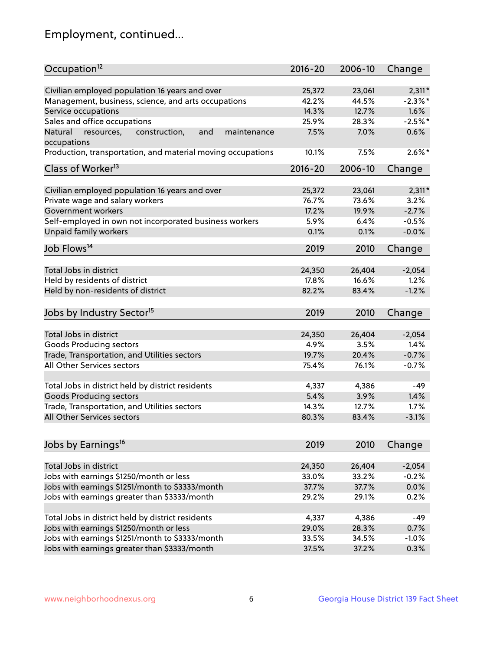## Employment, continued...

| Occupation <sup>12</sup>                                                    | $2016 - 20$     | 2006-10         | Change              |
|-----------------------------------------------------------------------------|-----------------|-----------------|---------------------|
| Civilian employed population 16 years and over                              | 25,372          | 23,061          | $2,311*$            |
| Management, business, science, and arts occupations                         | 42.2%           | 44.5%           | $-2.3\%$ *          |
| Service occupations                                                         | 14.3%           | 12.7%           | 1.6%                |
| Sales and office occupations                                                | 25.9%           | 28.3%           | $-2.5%$ *           |
|                                                                             |                 |                 | 0.6%                |
| Natural<br>and<br>resources,<br>construction,<br>maintenance<br>occupations | 7.5%            | 7.0%            |                     |
| Production, transportation, and material moving occupations                 | 10.1%           | 7.5%            | $2.6\%$ *           |
| Class of Worker <sup>13</sup>                                               | $2016 - 20$     | 2006-10         | Change              |
| Civilian employed population 16 years and over                              | 25,372          | 23,061          | $2,311*$            |
| Private wage and salary workers                                             | 76.7%           | 73.6%           | 3.2%                |
|                                                                             |                 |                 | $-2.7%$             |
| Government workers                                                          | 17.2%           | 19.9%           |                     |
| Self-employed in own not incorporated business workers                      | 5.9%            | 6.4%            | $-0.5%$             |
| Unpaid family workers                                                       | 0.1%            | 0.1%            | $-0.0%$             |
| Job Flows <sup>14</sup>                                                     | 2019            | 2010            | Change              |
|                                                                             |                 |                 |                     |
| Total Jobs in district                                                      | 24,350          | 26,404          | $-2,054$            |
| Held by residents of district                                               | 17.8%           | 16.6%           | 1.2%                |
| Held by non-residents of district                                           | 82.2%           | 83.4%           | $-1.2%$             |
| Jobs by Industry Sector <sup>15</sup>                                       | 2019            | 2010            | Change              |
|                                                                             |                 |                 |                     |
| Total Jobs in district                                                      | 24,350          | 26,404          | $-2,054$            |
| Goods Producing sectors                                                     | 4.9%            | 3.5%            | 1.4%                |
| Trade, Transportation, and Utilities sectors                                | 19.7%           | 20.4%           | $-0.7%$             |
| All Other Services sectors                                                  | 75.4%           | 76.1%           | $-0.7%$             |
| Total Jobs in district held by district residents                           | 4,337           | 4,386           | $-49$               |
| <b>Goods Producing sectors</b>                                              | 5.4%            | 3.9%            | 1.4%                |
| Trade, Transportation, and Utilities sectors                                | 14.3%           | 12.7%           | 1.7%                |
| All Other Services sectors                                                  | 80.3%           | 83.4%           | $-3.1%$             |
|                                                                             |                 |                 |                     |
| Jobs by Earnings <sup>16</sup>                                              | 2019            | 2010            | Change              |
|                                                                             |                 |                 |                     |
| Total Jobs in district                                                      | 24,350<br>33.0% | 26,404<br>33.2% | $-2,054$<br>$-0.2%$ |
| Jobs with earnings \$1250/month or less                                     |                 |                 |                     |
| Jobs with earnings \$1251/month to \$3333/month                             | 37.7%           | 37.7%           | 0.0%                |
| Jobs with earnings greater than \$3333/month                                | 29.2%           | 29.1%           | 0.2%                |
| Total Jobs in district held by district residents                           | 4,337           | 4,386           | $-49$               |
| Jobs with earnings \$1250/month or less                                     | 29.0%           | 28.3%           | 0.7%                |
| Jobs with earnings \$1251/month to \$3333/month                             | 33.5%           | 34.5%           | $-1.0%$             |
| Jobs with earnings greater than \$3333/month                                | 37.5%           | 37.2%           | 0.3%                |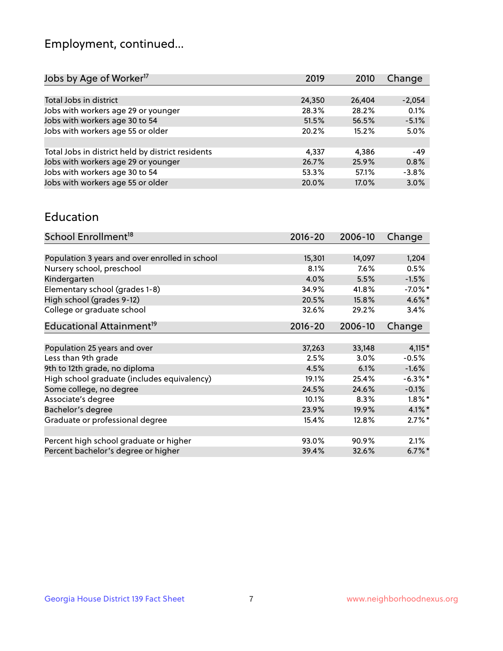## Employment, continued...

| 2019   | 2010   | Change   |
|--------|--------|----------|
|        |        |          |
| 24,350 | 26,404 | $-2,054$ |
| 28.3%  | 28.2%  | 0.1%     |
| 51.5%  | 56.5%  | $-5.1%$  |
| 20.2%  | 15.2%  | 5.0%     |
|        |        |          |
| 4,337  | 4.386  | $-49$    |
| 26.7%  | 25.9%  | 0.8%     |
| 53.3%  | 57.1%  | $-3.8%$  |
| 20.0%  | 17.0%  | 3.0%     |
|        |        |          |

#### Education

| School Enrollment <sup>18</sup>                | $2016 - 20$ | 2006-10  | Change               |
|------------------------------------------------|-------------|----------|----------------------|
|                                                |             |          |                      |
| Population 3 years and over enrolled in school | 15,301      | 14,097   | 1,204                |
| Nursery school, preschool                      | 8.1%        | 7.6%     | 0.5%                 |
| Kindergarten                                   | 4.0%        | 5.5%     | $-1.5%$              |
| Elementary school (grades 1-8)                 | 34.9%       | 41.8%    | $-7.0\%$ *           |
| High school (grades 9-12)                      | 20.5%       | 15.8%    | 4.6%*                |
| College or graduate school                     | 32.6%       | 29.2%    | 3.4%                 |
| Educational Attainment <sup>19</sup>           | $2016 - 20$ | 2006-10  | Change               |
|                                                |             |          |                      |
| Population 25 years and over                   | 37,263      | 33,148   | $4,115*$             |
| Less than 9th grade                            | 2.5%        | $3.0\%$  | $-0.5%$              |
| 9th to 12th grade, no diploma                  | 4.5%        | 6.1%     | $-1.6%$              |
| High school graduate (includes equivalency)    | 19.1%       | 25.4%    | $-6.3\%$ *           |
| Some college, no degree                        | 24.5%       | 24.6%    | $-0.1%$              |
| Associate's degree                             | 10.1%       | 8.3%     | $1.8\%$ *            |
| Bachelor's degree                              | 23.9%       | 19.9%    | $4.1\%$ *            |
| Graduate or professional degree                | 15.4%       | $12.8\%$ | $2.7\%$ *            |
|                                                |             |          |                      |
| Percent high school graduate or higher         | 93.0%       | 90.9%    | 2.1%                 |
| Percent bachelor's degree or higher            | 39.4%       | 32.6%    | $6.7\%$ <sup>*</sup> |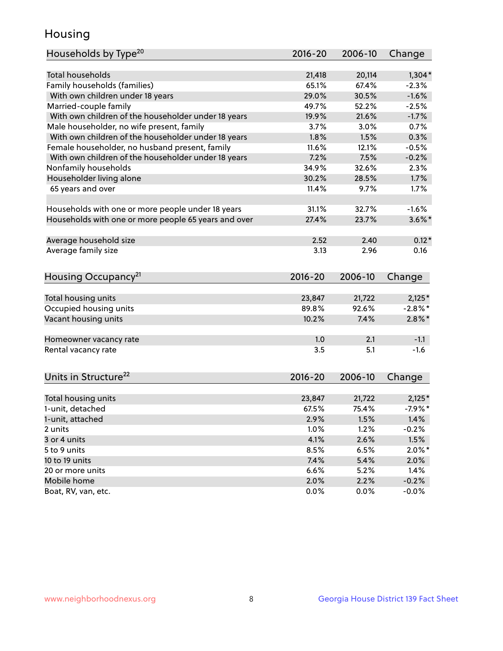## Housing

| Households by Type <sup>20</sup>                     | 2016-20 | 2006-10 | Change     |
|------------------------------------------------------|---------|---------|------------|
|                                                      |         |         |            |
| <b>Total households</b>                              | 21,418  | 20,114  | $1,304*$   |
| Family households (families)                         | 65.1%   | 67.4%   | $-2.3%$    |
| With own children under 18 years                     | 29.0%   | 30.5%   | $-1.6%$    |
| Married-couple family                                | 49.7%   | 52.2%   | $-2.5%$    |
| With own children of the householder under 18 years  | 19.9%   | 21.6%   | $-1.7%$    |
| Male householder, no wife present, family            | 3.7%    | 3.0%    | 0.7%       |
| With own children of the householder under 18 years  | 1.8%    | 1.5%    | 0.3%       |
| Female householder, no husband present, family       | 11.6%   | 12.1%   | $-0.5%$    |
| With own children of the householder under 18 years  | 7.2%    | 7.5%    | $-0.2%$    |
| Nonfamily households                                 | 34.9%   | 32.6%   | 2.3%       |
| Householder living alone                             | 30.2%   | 28.5%   | 1.7%       |
| 65 years and over                                    | 11.4%   | 9.7%    | 1.7%       |
|                                                      |         |         |            |
| Households with one or more people under 18 years    | 31.1%   | 32.7%   | $-1.6%$    |
| Households with one or more people 65 years and over | 27.4%   | 23.7%   | $3.6\%$ *  |
|                                                      |         |         |            |
| Average household size                               | 2.52    | 2.40    | $0.12*$    |
| Average family size                                  | 3.13    | 2.96    | 0.16       |
|                                                      |         |         |            |
| Housing Occupancy <sup>21</sup>                      | 2016-20 | 2006-10 | Change     |
|                                                      |         |         |            |
| Total housing units                                  | 23,847  | 21,722  | $2,125*$   |
| Occupied housing units                               | 89.8%   | 92.6%   | $-2.8\%$ * |
| Vacant housing units                                 | 10.2%   | 7.4%    | $2.8\%$ *  |
|                                                      |         |         |            |
| Homeowner vacancy rate                               | 1.0     | 2.1     | $-1.1$     |
| Rental vacancy rate                                  | 3.5     | 5.1     | $-1.6$     |
|                                                      |         |         |            |
| Units in Structure <sup>22</sup>                     | 2016-20 | 2006-10 | Change     |
|                                                      |         |         |            |
| Total housing units                                  | 23,847  | 21,722  | $2,125*$   |
| 1-unit, detached                                     | 67.5%   | 75.4%   | $-7.9%$ *  |
| 1-unit, attached                                     | 2.9%    | 1.5%    | 1.4%       |
| 2 units                                              | 1.0%    | 1.2%    | $-0.2%$    |
| 3 or 4 units                                         | 4.1%    | 2.6%    | 1.5%       |
| 5 to 9 units                                         | 8.5%    | 6.5%    | $2.0\%$ *  |
| 10 to 19 units                                       | 7.4%    | 5.4%    | 2.0%       |
| 20 or more units                                     | 6.6%    | 5.2%    | 1.4%       |
| Mobile home                                          | 2.0%    | 2.2%    | $-0.2%$    |
| Boat, RV, van, etc.                                  | 0.0%    | 0.0%    | $-0.0%$    |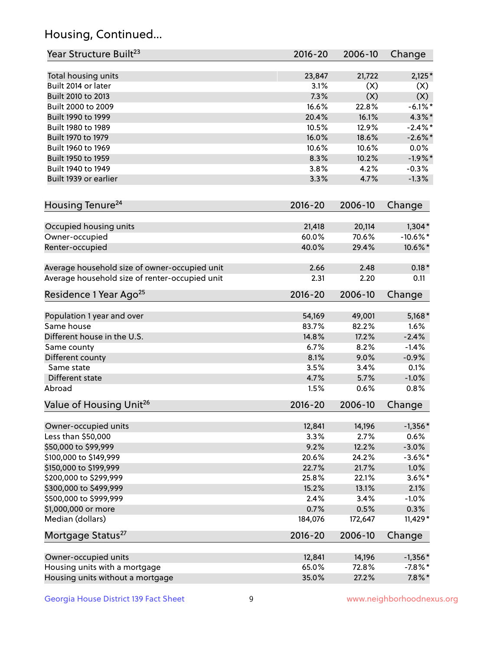## Housing, Continued...

| Year Structure Built <sup>23</sup>             | 2016-20     | 2006-10 | Change      |
|------------------------------------------------|-------------|---------|-------------|
| Total housing units                            | 23,847      | 21,722  | $2,125*$    |
| Built 2014 or later                            | 3.1%        | (X)     | (X)         |
| Built 2010 to 2013                             | 7.3%        | (X)     | (X)         |
| Built 2000 to 2009                             | 16.6%       | 22.8%   | $-6.1\%$ *  |
| Built 1990 to 1999                             | 20.4%       | 16.1%   | 4.3%*       |
| Built 1980 to 1989                             | 10.5%       | 12.9%   | $-2.4\%$ *  |
| Built 1970 to 1979                             | 16.0%       | 18.6%   | $-2.6\%$ *  |
| Built 1960 to 1969                             | 10.6%       | 10.6%   | 0.0%        |
| Built 1950 to 1959                             | 8.3%        | 10.2%   | $-1.9%$ *   |
| Built 1940 to 1949                             | 3.8%        | 4.2%    | $-0.3%$     |
| Built 1939 or earlier                          | 3.3%        | 4.7%    | $-1.3%$     |
| Housing Tenure <sup>24</sup>                   | $2016 - 20$ | 2006-10 | Change      |
| Occupied housing units                         | 21,418      | 20,114  | $1,304*$    |
| Owner-occupied                                 | 60.0%       | 70.6%   | $-10.6\%$ * |
| Renter-occupied                                | 40.0%       | 29.4%   | 10.6%*      |
| Average household size of owner-occupied unit  | 2.66        | 2.48    | $0.18*$     |
| Average household size of renter-occupied unit | 2.31        | 2.20    | 0.11        |
| Residence 1 Year Ago <sup>25</sup>             | 2016-20     | 2006-10 | Change      |
| Population 1 year and over                     | 54,169      | 49,001  | $5,168*$    |
| Same house                                     | 83.7%       | 82.2%   | 1.6%        |
| Different house in the U.S.                    | 14.8%       | 17.2%   | $-2.4%$     |
| Same county                                    | 6.7%        | 8.2%    | $-1.4%$     |
| Different county                               | 8.1%        | 9.0%    | $-0.9%$     |
| Same state                                     | 3.5%        | 3.4%    | 0.1%        |
| Different state                                | 4.7%        | 5.7%    | $-1.0%$     |
| Abroad                                         | 1.5%        | 0.6%    | 0.8%        |
| Value of Housing Unit <sup>26</sup>            | $2016 - 20$ | 2006-10 | Change      |
| Owner-occupied units                           | 12,841      | 14,196  | $-1,356*$   |
| Less than \$50,000                             | 3.3%        | 2.7%    | 0.6%        |
| \$50,000 to \$99,999                           | 9.2%        | 12.2%   | $-3.0%$     |
| \$100,000 to \$149,999                         | 20.6%       | 24.2%   | $-3.6\%$ *  |
| \$150,000 to \$199,999                         | 22.7%       | 21.7%   | 1.0%        |
| \$200,000 to \$299,999                         | 25.8%       | 22.1%   | $3.6\%$ *   |
| \$300,000 to \$499,999                         | 15.2%       | 13.1%   | 2.1%        |
| \$500,000 to \$999,999                         | 2.4%        | 3.4%    | $-1.0%$     |
| \$1,000,000 or more                            | 0.7%        | 0.5%    | 0.3%        |
| Median (dollars)                               | 184,076     | 172,647 | 11,429*     |
| Mortgage Status <sup>27</sup>                  | $2016 - 20$ | 2006-10 | Change      |
| Owner-occupied units                           | 12,841      | 14,196  | $-1,356*$   |
| Housing units with a mortgage                  | 65.0%       | 72.8%   | $-7.8\%$ *  |
| Housing units without a mortgage               | 35.0%       | 27.2%   | $7.8\%$ *   |
|                                                |             |         |             |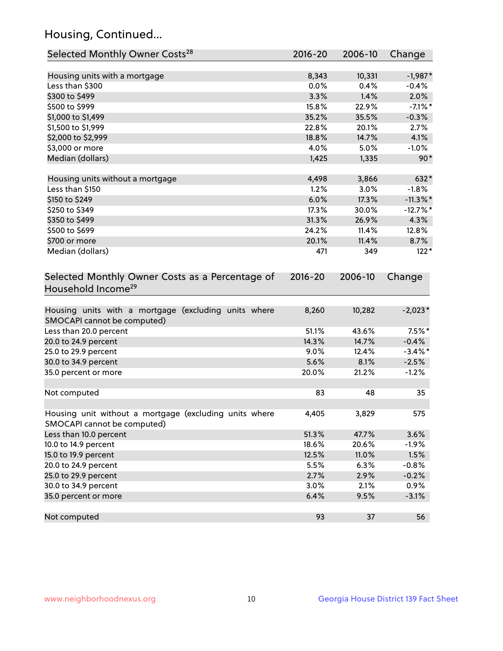## Housing, Continued...

| Selected Monthly Owner Costs <sup>28</sup>                                            | $2016 - 20$ | 2006-10 | Change      |
|---------------------------------------------------------------------------------------|-------------|---------|-------------|
| Housing units with a mortgage                                                         | 8,343       | 10,331  | $-1,987*$   |
| Less than \$300                                                                       | 0.0%        | 0.4%    | $-0.4%$     |
| \$300 to \$499                                                                        | 3.3%        | 1.4%    | 2.0%        |
| \$500 to \$999                                                                        | 15.8%       | 22.9%   | $-7.1\%$ *  |
| \$1,000 to \$1,499                                                                    | 35.2%       | 35.5%   | $-0.3%$     |
| \$1,500 to \$1,999                                                                    | 22.8%       | 20.1%   | 2.7%        |
| \$2,000 to \$2,999                                                                    | 18.8%       | 14.7%   | 4.1%        |
| \$3,000 or more                                                                       | 4.0%        | 5.0%    | $-1.0%$     |
| Median (dollars)                                                                      | 1,425       | 1,335   | $90*$       |
| Housing units without a mortgage                                                      | 4,498       | 3,866   | 632*        |
| Less than \$150                                                                       | 1.2%        | 3.0%    | $-1.8%$     |
| \$150 to \$249                                                                        | 6.0%        | 17.3%   | $-11.3\%$ * |
| \$250 to \$349                                                                        | 17.3%       | 30.0%   | $-12.7%$ *  |
| \$350 to \$499                                                                        | 31.3%       | 26.9%   | 4.3%        |
| \$500 to \$699                                                                        | 24.2%       | 11.4%   | 12.8%       |
| \$700 or more                                                                         | 20.1%       | 11.4%   | 8.7%        |
| Median (dollars)                                                                      | 471         | 349     | $122*$      |
| Selected Monthly Owner Costs as a Percentage of<br>Household Income <sup>29</sup>     | $2016 - 20$ | 2006-10 | Change      |
| Housing units with a mortgage (excluding units where<br>SMOCAPI cannot be computed)   | 8,260       | 10,282  | $-2,023*$   |
| Less than 20.0 percent                                                                | 51.1%       | 43.6%   | $7.5\%$ *   |
| 20.0 to 24.9 percent                                                                  | 14.3%       | 14.7%   | $-0.4%$     |
| 25.0 to 29.9 percent                                                                  | 9.0%        | 12.4%   | $-3.4\%$ *  |
| 30.0 to 34.9 percent                                                                  | 5.6%        | 8.1%    | $-2.5%$     |
| 35.0 percent or more                                                                  | 20.0%       | 21.2%   | $-1.2%$     |
| Not computed                                                                          | 83          | 48      | 35          |
| Housing unit without a mortgage (excluding units where<br>SMOCAPI cannot be computed) | 4,405       | 3,829   | 575         |
| Less than 10.0 percent                                                                | 51.3%       | 47.7%   | 3.6%        |
| 10.0 to 14.9 percent                                                                  | 18.6%       | 20.6%   | $-1.9%$     |
| 15.0 to 19.9 percent                                                                  | 12.5%       | 11.0%   | 1.5%        |
| 20.0 to 24.9 percent                                                                  | 5.5%        | 6.3%    | $-0.8%$     |
| 25.0 to 29.9 percent                                                                  | 2.7%        | 2.9%    | $-0.2%$     |
| 30.0 to 34.9 percent                                                                  | 3.0%        | 2.1%    | 0.9%        |
| 35.0 percent or more                                                                  | 6.4%        | 9.5%    | $-3.1%$     |
| Not computed                                                                          | 93          | 37      | 56          |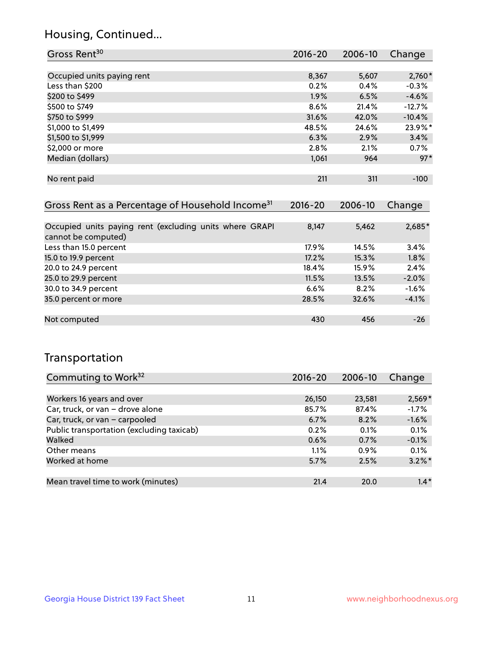## Housing, Continued...

| Gross Rent <sup>30</sup>                                     | 2016-20     | 2006-10 | Change   |
|--------------------------------------------------------------|-------------|---------|----------|
|                                                              |             |         |          |
| Occupied units paying rent                                   | 8,367       | 5,607   | $2,760*$ |
| Less than \$200                                              | 0.2%        | 0.4%    | $-0.3%$  |
| \$200 to \$499                                               | $1.9\%$     | 6.5%    | $-4.6%$  |
| \$500 to \$749                                               | 8.6%        | 21.4%   | $-12.7%$ |
| \$750 to \$999                                               | 31.6%       | 42.0%   | $-10.4%$ |
| \$1,000 to \$1,499                                           | 48.5%       | 24.6%   | 23.9%*   |
| \$1,500 to \$1,999                                           | 6.3%        | 2.9%    | 3.4%     |
| \$2,000 or more                                              | 2.8%        | 2.1%    | $0.7\%$  |
| Median (dollars)                                             | 1,061       | 964     | $97*$    |
|                                                              |             |         |          |
| No rent paid                                                 | 211         | 311     | $-100$   |
|                                                              |             |         |          |
| Gross Rent as a Percentage of Household Income <sup>31</sup> | $2016 - 20$ | 2006-10 | Change   |
|                                                              |             |         |          |
| Occupied units paying rept (evaluding units where GRAPI      | $Q$ 1/17    | F A52   | $2605*$  |

| Occupied units paying rent (excluding units where GRAPI | 8.147 | 5,462    | $2,685*$ |
|---------------------------------------------------------|-------|----------|----------|
| cannot be computed)                                     |       |          |          |
| Less than 15.0 percent                                  | 17.9% | $14.5\%$ | 3.4%     |
| 15.0 to 19.9 percent                                    | 17.2% | $15.3\%$ | 1.8%     |
| 20.0 to 24.9 percent                                    | 18.4% | 15.9%    | 2.4%     |
| 25.0 to 29.9 percent                                    | 11.5% | 13.5%    | $-2.0%$  |
| 30.0 to 34.9 percent                                    | 6.6%  | 8.2%     | $-1.6%$  |
| 35.0 percent or more                                    | 28.5% | 32.6%    | $-4.1%$  |
|                                                         |       |          |          |
| Not computed                                            | 430   | 456      | $-26$    |

## Transportation

| Commuting to Work <sup>32</sup>           | 2016-20 | 2006-10 | Change    |
|-------------------------------------------|---------|---------|-----------|
|                                           |         |         |           |
| Workers 16 years and over                 | 26,150  | 23,581  | $2,569*$  |
| Car, truck, or van - drove alone          | 85.7%   | 87.4%   | $-1.7%$   |
| Car, truck, or van - carpooled            | 6.7%    | 8.2%    | $-1.6%$   |
| Public transportation (excluding taxicab) | 0.2%    | 0.1%    | 0.1%      |
| Walked                                    | 0.6%    | 0.7%    | $-0.1%$   |
| Other means                               | 1.1%    | $0.9\%$ | 0.1%      |
| Worked at home                            | 5.7%    | 2.5%    | $3.2\%$ * |
|                                           |         |         |           |
| Mean travel time to work (minutes)        | 21.4    | 20.0    | $1.4*$    |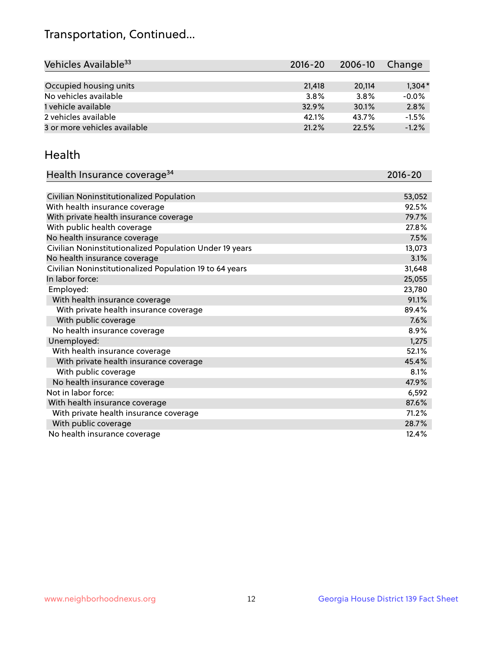## Transportation, Continued...

| Vehicles Available <sup>33</sup> | $2016 - 20$ | 2006-10 | Change   |
|----------------------------------|-------------|---------|----------|
|                                  |             |         |          |
| Occupied housing units           | 21,418      | 20.114  | $1,304*$ |
| No vehicles available            | 3.8%        | 3.8%    | $-0.0%$  |
| 1 vehicle available              | 32.9%       | 30.1%   | 2.8%     |
| 2 vehicles available             | 42.1%       | 43.7%   | $-1.5%$  |
| 3 or more vehicles available     | 21.2%       | 22.5%   | $-1.2%$  |

#### Health

| Health Insurance coverage <sup>34</sup>                 | 2016-20 |
|---------------------------------------------------------|---------|
|                                                         |         |
| Civilian Noninstitutionalized Population                | 53,052  |
| With health insurance coverage                          | 92.5%   |
| With private health insurance coverage                  | 79.7%   |
| With public health coverage                             | 27.8%   |
| No health insurance coverage                            | 7.5%    |
| Civilian Noninstitutionalized Population Under 19 years | 13,073  |
| No health insurance coverage                            | 3.1%    |
| Civilian Noninstitutionalized Population 19 to 64 years | 31,648  |
| In labor force:                                         | 25,055  |
| Employed:                                               | 23,780  |
| With health insurance coverage                          | 91.1%   |
| With private health insurance coverage                  | 89.4%   |
| With public coverage                                    | 7.6%    |
| No health insurance coverage                            | 8.9%    |
| Unemployed:                                             | 1,275   |
| With health insurance coverage                          | 52.1%   |
| With private health insurance coverage                  | 45.4%   |
| With public coverage                                    | 8.1%    |
| No health insurance coverage                            | 47.9%   |
| Not in labor force:                                     | 6,592   |
| With health insurance coverage                          | 87.6%   |
| With private health insurance coverage                  | 71.2%   |
| With public coverage                                    | 28.7%   |
| No health insurance coverage                            | 12.4%   |